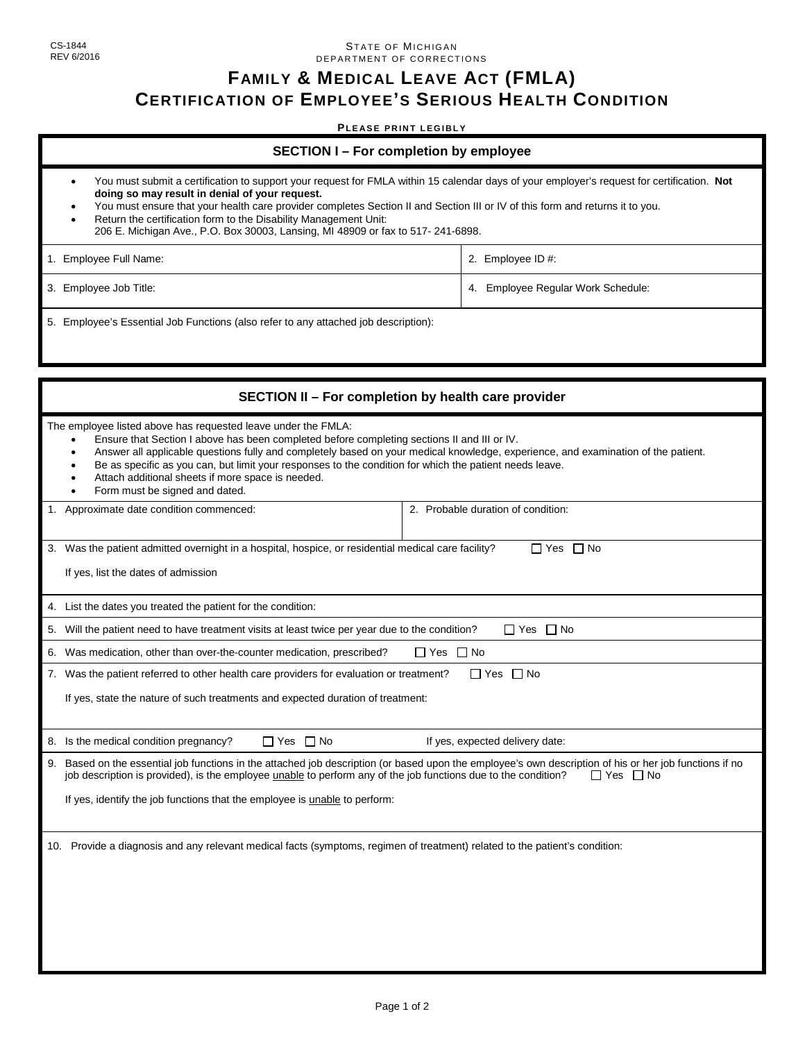## STATE OF MICHIGAN DEPARTMENT OF CORRECTIONS

## **FAMILY & MEDICAL LEAVE ACT (FMLA) CERTIFICATION OF EMPLOYEE'S SERIOUS HEALTH CONDITION**

## **PLEASE PRINT LEGIBLY**

- You must submit a certification to support your request for FMLA within 15 calendar days of your employer's request for certification. **Not doing so may result in denial of your request.**
- You must ensure that your health care provider completes Section II and Section III or IV of this form and returns it to you.
- Return the certification form to the Disability Management Unit: 206 E. Michigan Ave., P.O. Box 30003, Lansing, MI 48909 or fax to 517- 241-6898.

| 1. Employee Full Name: | 2. Employee ID #:                  |
|------------------------|------------------------------------|
| 3. Employee Job Title: | 4. Employee Regular Work Schedule: |

5. Employee's Essential Job Functions (also refer to any attached job description):

| SECTION II - For completion by health care provider                                                                                                                                                                                                                                                                                                                                                                                                                                                              |                                    |  |  |
|------------------------------------------------------------------------------------------------------------------------------------------------------------------------------------------------------------------------------------------------------------------------------------------------------------------------------------------------------------------------------------------------------------------------------------------------------------------------------------------------------------------|------------------------------------|--|--|
| The employee listed above has requested leave under the FMLA:<br>Ensure that Section I above has been completed before completing sections II and III or IV.<br>$\bullet$<br>Answer all applicable questions fully and completely based on your medical knowledge, experience, and examination of the patient.<br>Be as specific as you can, but limit your responses to the condition for which the patient needs leave.<br>Attach additional sheets if more space is needed.<br>Form must be signed and dated. |                                    |  |  |
| Approximate date condition commenced:<br>1.                                                                                                                                                                                                                                                                                                                                                                                                                                                                      | 2. Probable duration of condition: |  |  |
| 3. Was the patient admitted overnight in a hospital, hospice, or residential medical care facility?<br>$\Box$ Yes $\Box$ No<br>If yes, list the dates of admission                                                                                                                                                                                                                                                                                                                                               |                                    |  |  |
| 4. List the dates you treated the patient for the condition:                                                                                                                                                                                                                                                                                                                                                                                                                                                     |                                    |  |  |
| 5. Will the patient need to have treatment visits at least twice per year due to the condition?<br>$\Box$ Yes $\Box$ No                                                                                                                                                                                                                                                                                                                                                                                          |                                    |  |  |
| Was medication, other than over-the-counter medication, prescribed?<br>6.<br>□ Yes □ No                                                                                                                                                                                                                                                                                                                                                                                                                          |                                    |  |  |
| $\Box$ Yes $\Box$ No<br>7. Was the patient referred to other health care providers for evaluation or treatment?                                                                                                                                                                                                                                                                                                                                                                                                  |                                    |  |  |
| If yes, state the nature of such treatments and expected duration of treatment:                                                                                                                                                                                                                                                                                                                                                                                                                                  |                                    |  |  |
| 8. Is the medical condition pregnancy?<br>$\Box$ Yes $\Box$ No                                                                                                                                                                                                                                                                                                                                                                                                                                                   | If yes, expected delivery date:    |  |  |
| Based on the essential job functions in the attached job description (or based upon the employee's own description of his or her job functions if no<br>9.<br>job description is provided), is the employee unable to perform any of the job functions due to the condition?<br>$\Box$ Yes $\Box$ No<br>If yes, identify the job functions that the employee is unable to perform:                                                                                                                               |                                    |  |  |
| 10. Provide a diagnosis and any relevant medical facts (symptoms, regimen of treatment) related to the patient's condition:                                                                                                                                                                                                                                                                                                                                                                                      |                                    |  |  |